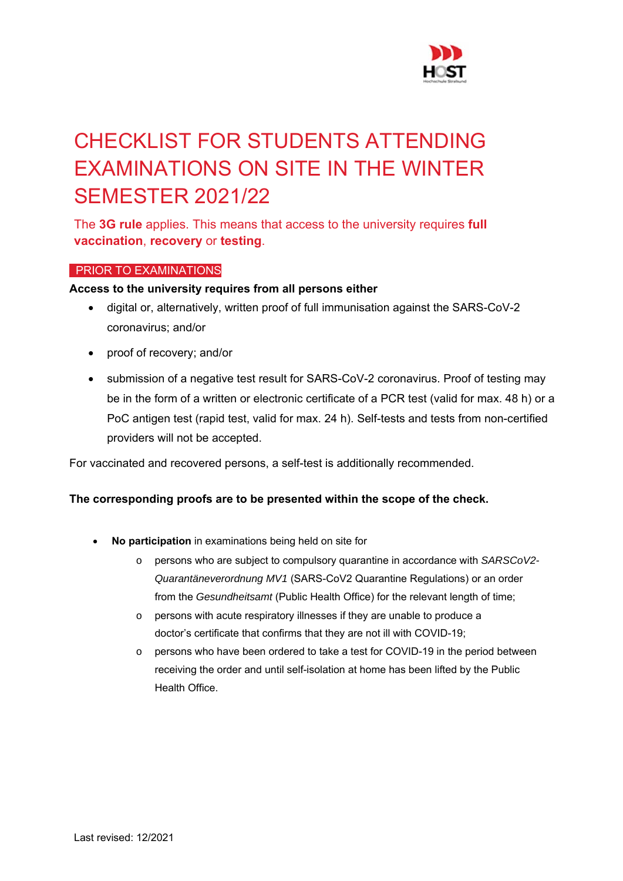

# CHECKLIST FOR STUDENTS ATTENDING EXAMINATIONS ON SITE IN THE WINTER SEMESTER 2021/22

The **3G rule** applies. This means that access to the university requires **full vaccination**, **recovery** or **testing**.

# PRIOR TO EXAMINATIONS

### **Access to the university requires from all persons either**

- digital or, alternatively, written proof of full immunisation against the SARS-CoV-2 coronavirus; and/or
- proof of recovery; and/or
- submission of a negative test result for SARS-CoV-2 coronavirus. Proof of testing may be in the form of a written or electronic certificate of a PCR test (valid for max. 48 h) or a PoC antigen test (rapid test, valid for max. 24 h). Self-tests and tests from non-certified providers will not be accepted.

For vaccinated and recovered persons, a self-test is additionally recommended.

# **The corresponding proofs are to be presented within the scope of the check.**

- **No participation** in examinations being held on site for
	- o persons who are subject to compulsory quarantine in accordance with *SARSCoV2- Quarantäneverordnung MV1* (SARS-CoV2 Quarantine Regulations) or an order from the *Gesundheitsamt* (Public Health Office) for the relevant length of time;
	- o persons with acute respiratory illnesses if they are unable to produce a doctor's certificate that confirms that they are not ill with COVID-19;
	- o persons who have been ordered to take a test for COVID-19 in the period between receiving the order and until self-isolation at home has been lifted by the Public Health Office.